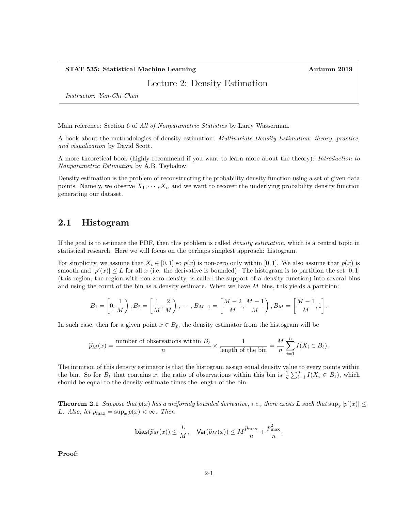## STAT 535: Statistical Machine Learning Autumn 2019

Lecture 2: Density Estimation

Instructor: Yen-Chi Chen

Main reference: Section 6 of *All of Nonparametric Statistics* by Larry Wasserman.

A book about the methodologies of density estimation: Multivariate Density Estimation: theory, practice, and visualization by David Scott.

A more theoretical book (highly recommend if you want to learn more about the theory): Introduction to Nonparametric Estimation by A.B. Tsybakov.

Density estimation is the problem of reconstructing the probability density function using a set of given data points. Namely, we observe  $X_1, \dots, X_n$  and we want to recover the underlying probability density function generating our dataset.

# 2.1 Histogram

If the goal is to estimate the PDF, then this problem is called density estimation, which is a central topic in statistical research. Here we will focus on the perhaps simplest approach: histogram.

For simplicity, we assume that  $X_i \in [0,1]$  so  $p(x)$  is non-zero only within [0,1]. We also assume that  $p(x)$  is smooth and  $|p'(x)| \leq L$  for all x (i.e. the derivative is bounded). The histogram is to partition the set [0, 1] (this region, the region with non-zero density, is called the support of a density function) into several bins and using the count of the bin as a density estimate. When we have  $M$  bins, this yields a partition:

$$
B_1 = \left[0, \frac{1}{M}\right), B_2 = \left[\frac{1}{M}, \frac{2}{M}\right), \cdots, B_{M-1} = \left[\frac{M-2}{M}, \frac{M-1}{M}\right), B_M = \left[\frac{M-1}{M}, 1\right].
$$

In such case, then for a given point  $x \in B_{\ell}$ , the density estimator from the histogram will be

$$
\widehat{p}_M(x) = \frac{\text{number of observations within } B_{\ell}}{n} \times \frac{1}{\text{length of the bin}} = \frac{M}{n} \sum_{i=1}^n I(X_i \in B_{\ell}).
$$

The intuition of this density estimator is that the histogram assign equal density value to every points within the bin. So for  $B_\ell$  that contains x, the ratio of observations within this bin is  $\frac{1}{n}\sum_{i=1}^n I(X_i \in B_\ell)$ , which should be equal to the density estimate times the length of the bin.

**Theorem 2.1** Suppose that  $p(x)$  has a uniformly bounded derivative, i.e., there exists L such that  $\sup_x |p'(x)| \le$ L. Also, let  $p_{\max} = \sup_x p(x) < \infty$ . Then

$$
\mathbf{bias}(\widehat{p}_M(x)) \le \frac{L}{M}, \quad \mathsf{Var}(\widehat{p}_M(x)) \le M \frac{p_{\max}}{n} + \frac{p_{\max}^2}{n}.
$$

Proof: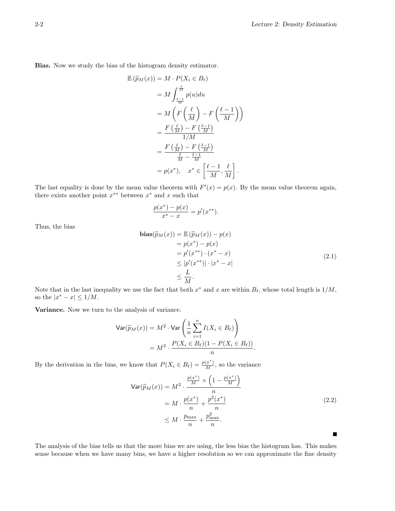Bias. Now we study the bias of the histogram density estimator.

$$
\mathbb{E}(\widehat{p}_M(x)) = M \cdot P(X_i \in B_\ell)
$$
  
=  $M \int_{\frac{\ell}{M}}^{\frac{\ell}{M}} p(u) du$   
=  $M \left( F\left(\frac{\ell}{M}\right) - F\left(\frac{\ell-1}{M}\right) \right)$   
=  $\frac{F\left(\frac{\ell}{M}\right) - F\left(\frac{\ell-1}{M}\right)}{1/M}$   
=  $\frac{F\left(\frac{\ell}{M}\right) - F\left(\frac{\ell-1}{M}\right)}{\frac{\ell}{M} - \frac{\ell-1}{M}}$   
=  $p(x^*), \quad x^* \in \left[\frac{\ell-1}{M}, \frac{\ell}{M}\right].$ 

The last equality is done by the mean value theorem with  $F'(x) = p(x)$ . By the mean value theorem again, there exists another point  $x^{**}$  between  $x^*$  and x such that

$$
\frac{p(x^*) - p(x)}{x^* - x} = p'(x^{**}).
$$

Thus, the bias

$$
\begin{aligned}\n\mathbf{bias}(\widehat{p}_M(x)) &= \mathbb{E}\left(\widehat{p}_M(x)\right) - p(x) \\
&= p(x^*) - p(x) \\
&= p'(x^{**}) \cdot (x^* - x) \\
&\leq |p'(x^{**})| \cdot |x^* - x| \\
&\leq \frac{L}{M}.\n\end{aligned}\n\tag{2.1}
$$

Note that in the last inequality we use the fact that both  $x^*$  and  $x$  are within  $B_\ell$ , whose total length is  $1/M$ , so the  $|x^* - x| \leq 1/M$ .

Variance. Now we turn to the analysis of variance.

$$
\begin{aligned} \mathsf{Var}(\widehat{p}_M(x)) &= M^2 \cdot \mathsf{Var}\left(\frac{1}{n} \sum_{i=1}^n I(X_i \in B_\ell)\right) \\ &= M^2 \cdot \frac{P(X_i \in B_\ell)(1 - P(X_i \in B_\ell))}{n} .\end{aligned}
$$

By the derivation in the bias, we know that  $P(X_i \in B_\ell) = \frac{p(x^*)}{M}$ , so the variance

$$
\begin{aligned} \mathsf{Var}(\widehat{p}_M(x)) &= M^2 \cdot \frac{\frac{p(x^*)}{M} \times \left(1 - \frac{p(x^*)}{M}\right)}{n} \\ &= M \cdot \frac{p(x^*)}{n} + \frac{p^2(x^*)}{n} \\ &\le M \cdot \frac{p_{\text{max}}}{n} + \frac{p_{\text{max}}^2}{n} .\end{aligned} \tag{2.2}
$$

П

The analysis of the bias tells us that the more bins we are using, the less bias the histogram has. This makes sense because when we have many bins, we have a higher resolution so we can approximate the fine density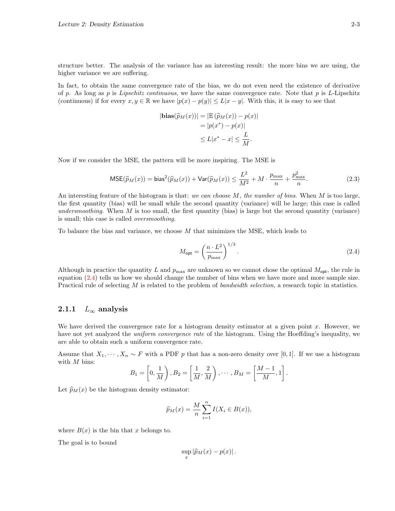structure better. The analysis of the variance has an interesting result: the more bins we are using, the higher variance we are suffering.

In fact, to obtain the same convergence rate of the bias, we do not even need the existence of derivative of p. As long as p is Lipschitz continuous, we have the same convergence rate. Note that p is L-Lipschitz (continuous) if for every  $x, y \in \mathbb{R}$  we have  $|p(x) - p(y)| \le L|x - y|$ . With this, it is easy to see that

$$
|\mathbf{bias}(\widehat{p}_M(x))| = |\mathbb{E}(\widehat{p}_M(x)) - p(x)|
$$
  
=  $|p(x^*) - p(x)|$   

$$
\leq L|x^* - x| \leq \frac{L}{M}.
$$

Now if we consider the MSE, the pattern will be more inspiring. The MSE is

$$
\text{MSE}(\widehat{p}_M(x)) = \text{bias}^2(\widehat{p}_M(x)) + \text{Var}(\widehat{p}_M(x)) \le \frac{L^2}{M^2} + M \cdot \frac{p_{\text{max}}}{n} + \frac{p_{\text{max}}^2}{n}.
$$
\n(2.3)

An interesting feature of the histogram is that: we can choose  $M$ , the number of bins. When  $M$  is too large, the first quantity (bias) will be small while the second quantity (variance) will be large; this case is called undersmoothing. When  $M$  is too small, the first quantity (bias) is large but the second quantity (variance) is small; this case is called oversmoothing.

To balance the bias and variance, we choose M that minimizes the MSE, which leads to

<span id="page-2-0"></span>
$$
M_{\rm opt} = \left(\frac{n \cdot L^2}{p_{\rm max}}\right)^{1/3}.\tag{2.4}
$$

Although in practice the quantity L and  $p_{\text{max}}$  are unknown so we cannot chose the optimal  $M_{\text{opt}}$ , the rule in equation [\(2.4\)](#page-2-0) tells us how we should change the number of bins when we have more and more sample size. Practical rule of selecting M is related to the problem of bandwidth selection, a research topic in statistics.

## 2.1.1  $L_{\infty}$  analysis

We have derived the convergence rate for a histogram density estimator at a given point  $x$ . However, we have not yet analyzed the *uniform convergence rate* of the histogram. Using the Hoeffding's inequality, we are able to obtain such a uniform convergence rate.

Assume that  $X_1, \dots, X_n \sim F$  with a PDF p that has a non-zero density over [0, 1]. If we use a histogram with M bins:

$$
B_1 = \left[0, \frac{1}{M}\right), B_2 = \left[\frac{1}{M}, \frac{2}{M}\right), \cdots, B_M = \left[\frac{M-1}{M}, 1\right].
$$

Let  $\widehat{p}_M(x)$  be the histogram density estimator:

$$
\widehat{p}_M(x) = \frac{M}{n} \sum_{i=1}^n I(X_i \in B(x)),
$$

where  $B(x)$  is the bin that x belongs to.

The goal is to bound

$$
\sup_x |\widehat{p}_M(x)-p(x)|.
$$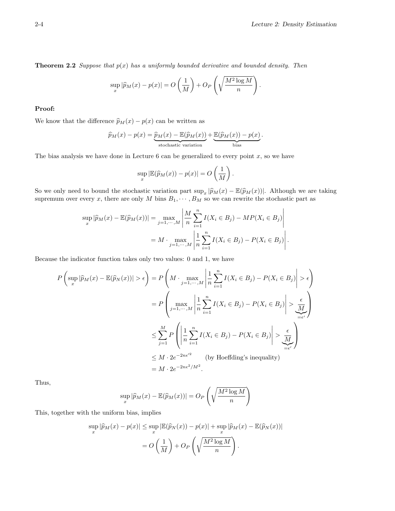**Theorem 2.2** Suppose that  $p(x)$  has a uniformly bounded derivative and bounded density. Then

$$
\sup_{x} |\widehat{p}_M(x) - p(x)| = O\left(\frac{1}{M}\right) + O_P\left(\sqrt{\frac{M^2 \log M}{n}}\right).
$$

#### Proof:

We know that the difference  $\widehat{p}_M(x) - p(x)$  can be written as

$$
\widehat{p}_M(x) - p(x) = \underbrace{\widehat{p}_M(x) - \mathbb{E}(\widehat{p}_M(x))}_{\text{stochastic variation}} + \underbrace{\mathbb{E}(\widehat{p}_M(x)) - p(x)}_{\text{bias}}.
$$

The bias analysis we have done in Lecture 6 can be generalized to every point  $x$ , so we have

$$
\sup_x |\mathbb{E}(\widehat{p}_M(x)) - p(x)| = O\left(\frac{1}{M}\right).
$$

So we only need to bound the stochastic variation part  $\sup_x |\widehat{p}_M(x) - \mathbb{E}(\widehat{p}_M(x))|$ . Although we are taking<br>supromum over overy x, there are only M bing B, as we gen powint the stochastic part as supremum over every x, there are only M bins  $B_1, \cdots, B_M$  so we can rewrite the stochastic part as

$$
\sup_{x} |\widehat{p}_M(x) - \mathbb{E}(\widehat{p}_M(x))| = \max_{j=1,\dots,M} \left| \frac{M}{n} \sum_{i=1}^n I(X_i \in B_j) - MP(X_i \in B_j) \right|
$$
  
=  $M \cdot \max_{j=1,\dots,M} \left| \frac{1}{n} \sum_{i=1}^n I(X_i \in B_j) - P(X_i \in B_j) \right|$ .

Because the indicator function takes only two values: 0 and 1, we have

$$
P\left(\sup_{x}|\widehat{p}_{M}(x)-\mathbb{E}(\widehat{p}_{N}(x))| > \epsilon\right) = P\left(M \cdot \max_{j=1,\cdots,M} \left|\frac{1}{n}\sum_{i=1}^{n}I(X_{i} \in B_{j}) - P(X_{i} \in B_{j})\right| > \epsilon\right)
$$

$$
= P\left(\max_{j=1,\cdots,M} \left|\frac{1}{n}\sum_{i=1}^{n}I(X_{i} \in B_{j}) - P(X_{i} \in B_{j})\right| > \underbrace{\frac{\epsilon}{M}}_{=\epsilon'}\right)
$$

$$
\leq \sum_{j=1}^{M} P\left(\left|\frac{1}{n}\sum_{i=1}^{n}I(X_{i} \in B_{j}) - P(X_{i} \in B_{j})\right| > \underbrace{\frac{\epsilon}{M}}_{=\epsilon'}\right)
$$

$$
\leq M \cdot 2e^{-2n\epsilon^{2}} \qquad \text{(by Hoeffding's inequality)}
$$

$$
= M \cdot 2e^{-2n\epsilon^{2}/M^{2}}.
$$

Thus,

$$
\sup_{x} |\widehat{p}_M(x) - \mathbb{E}(\widehat{p}_M(x))| = O_P\left(\sqrt{\frac{M^2 \log M}{n}}\right)
$$

This, together with the uniform bias, implies

$$
\sup_{x} |\widehat{p}_M(x) - p(x)| \leq \sup_{x} |\mathbb{E}(\widehat{p}_N(x)) - p(x)| + \sup_{x} |\widehat{p}_M(x) - \mathbb{E}(\widehat{p}_N(x))|
$$

$$
= O\left(\frac{1}{M}\right) + O_P\left(\sqrt{\frac{M^2 \log M}{n}}\right).
$$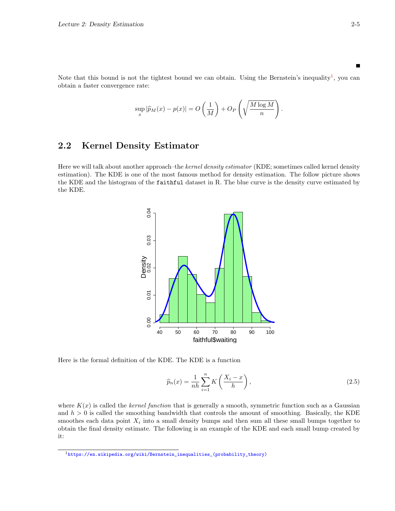Note that this bound is not the tightest bound we can obtain. Using the Bernstein's inequality<sup>[1](#page-4-0)</sup>, you can obtain a faster convergence rate:

$$
\sup_{x} |\widehat{p}_M(x) - p(x)| = O\left(\frac{1}{M}\right) + O_P\left(\sqrt{\frac{M\log M}{n}}\right).
$$

# 2.2 Kernel Density Estimator

Here we will talk about another approach–the kernel density estimator (KDE; sometimes called kernel density estimation). The KDE is one of the most famous method for density estimation. The follow picture shows the KDE and the histogram of the faithful dataset in R. The blue curve is the density curve estimated by the KDE.



Here is the formal definition of the KDE. The KDE is a function

<span id="page-4-1"></span>
$$
\widehat{p}_n(x) = \frac{1}{nh} \sum_{i=1}^n K\left(\frac{X_i - x}{h}\right),\tag{2.5}
$$

where  $K(x)$  is called the kernel function that is generally a smooth, symmetric function such as a Gaussian and  $h > 0$  is called the smoothing bandwidth that controls the amount of smoothing. Basically, the KDE smoothes each data point  $X_i$  into a small density bumps and then sum all these small bumps together to obtain the final density estimate. The following is an example of the KDE and each small bump created by it:

<span id="page-4-0"></span><sup>1</sup>[https://en.wikipedia.org/wiki/Bernstein\\_inequalities\\_\(probability\\_theory\)](https://en.wikipedia.org/wiki/Bernstein_inequalities_(probability_theory))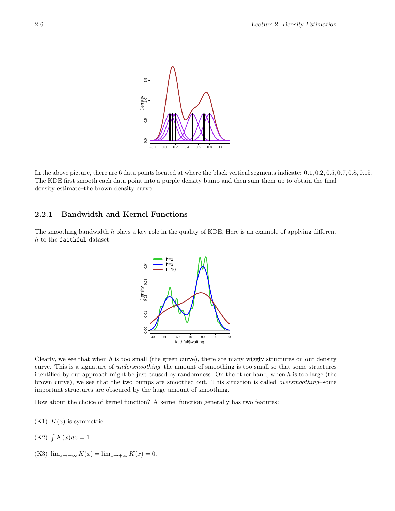

In the above picture, there are 6 data points located at where the black vertical segments indicate: 0.1, 0.2, 0.5, 0.7, 0.8, 0.15. The KDE first smooth each data point into a purple density bump and then sum them up to obtain the final density estimate–the brown density curve.

# 2.2.1 Bandwidth and Kernel Functions

The smoothing bandwidth  $h$  plays a key role in the quality of KDE. Here is an example of applying different h to the faithful dataset:



Clearly, we see that when  $h$  is too small (the green curve), there are many wiggly structures on our density curve. This is a signature of *undersmoothing*–the amount of smoothing is too small so that some structures identified by our approach might be just caused by randomness. On the other hand, when h is too large (the brown curve), we see that the two bumps are smoothed out. This situation is called oversmoothing–some important structures are obscured by the huge amount of smoothing.

How about the choice of kernel function? A kernel function generally has two features:

- $(K1)$   $K(x)$  is symmetric.
- $(K2)$   $\int K(x)dx = 1$ .
- (K3)  $\lim_{x\to-\infty} K(x) = \lim_{x\to+\infty} K(x) = 0.$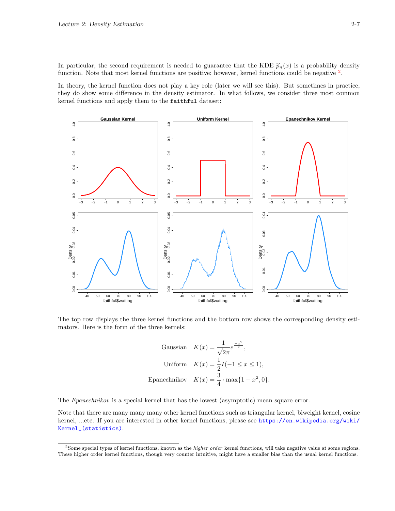In particular, the second requirement is needed to guarantee that the KDE  $\hat{p}_n(x)$  is a probability density function. Note that most kernel functions are positive; however, kernel functions could be negative <sup>[2](#page-6-0)</sup>.

In theory, the kernel function does not play a key role (later we will see this). But sometimes in practice, they do show some difference in the density estimator. In what follows, we consider three most common kernel functions and apply them to the faithful dataset:



The top row displays the three kernel functions and the bottom row shows the corresponding density estimators. Here is the form of the three kernels:

Gaussian 
$$
K(x) = \frac{1}{\sqrt{2\pi}} e^{\frac{-x^2}{2}}
$$
,  
Uniform  $K(x) = \frac{1}{2}I(-1 \le x \le 1)$ ,  
Epanechnikov  $K(x) = \frac{3}{4} \cdot \max\{1 - x^2, 0\}$ .

The *Epanechnikov* is a special kernel that has the lowest (asymptotic) mean square error.

Note that there are many many many other kernel functions such as triangular kernel, biweight kernel, cosine kernel, ...etc. If you are interested in other kernel functions, please see [https://en.wikipedia.org/wiki/](https://en.wikipedia.org/wiki/Kernel_(statistics)) [Kernel\\_\(statistics\)](https://en.wikipedia.org/wiki/Kernel_(statistics)).

<span id="page-6-0"></span><sup>&</sup>lt;sup>2</sup>Some special types of kernel functions, known as the *higher order* kernel functions, will take negative value at some regions. These higher order kernel functions, though very counter intuitive, might have a smaller bias than the usual kernel functions.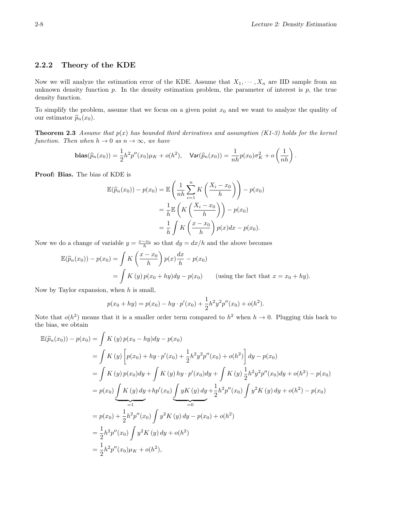## 2.2.2 Theory of the KDE

Now we will analyze the estimation error of the KDE. Assume that  $X_1, \dots, X_n$  are IID sample from an unknown density function  $p$ . In the density estimation problem, the parameter of interest is  $p$ , the true density function.

To simplify the problem, assume that we focus on a given point  $x_0$  and we want to analyze the quality of our estimator  $\widehat{p}_n(x_0)$ .

**Theorem 2.3** Assume that  $p(x)$  has bounded third derivatives and assumption (K1-3) holds for the kernel function. Then when  $h \to 0$  as  $n \to \infty$ , we have

$$
\mathbf{bias}(\widehat{p}_n(x_0)) = \frac{1}{2}h^2p''(x_0)\mu_K + o(h^2), \quad \mathsf{Var}(\widehat{p}_n(x_0)) = \frac{1}{nh}p(x_0)\sigma_K^2 + o\left(\frac{1}{nh}\right).
$$

Proof: Bias. The bias of KDE is

$$
\mathbb{E}(\widehat{p}_n(x_0)) - p(x_0) = \mathbb{E}\left(\frac{1}{nh}\sum_{i=1}^n K\left(\frac{X_i - x_0}{h}\right)\right) - p(x_0)
$$

$$
= \frac{1}{h}\mathbb{E}\left(K\left(\frac{X_i - x_0}{h}\right)\right) - p(x_0)
$$

$$
= \frac{1}{h}\int K\left(\frac{x - x_0}{h}\right)p(x)dx - p(x_0).
$$

Now we do a change of variable  $y = \frac{x - x_0}{h}$  so that  $dy = dx/h$  and the above becomes

$$
\mathbb{E}(\widehat{p}_n(x_0)) - p(x_0) = \int K\left(\frac{x - x_0}{h}\right) p(x) \frac{dx}{h} - p(x_0)
$$
  
= 
$$
\int K(y) p(x_0 + hy) dy - p(x_0) \quad \text{(using the fact that } x = x_0 + hy).
$$

Now by Taylor expansion, when  $h$  is small,

$$
p(x_0 + hy) = p(x_0) - hy \cdot p'(x_0) + \frac{1}{2}h^2y^2p''(x_0) + o(h^2).
$$

Note that  $o(h^2)$  means that it is a smaller order term compared to  $h^2$  when  $h \to 0$ . Plugging this back to the bias, we obtain

$$
\mathbb{E}(\widehat{p}_n(x_0)) - p(x_0) = \int K(y) p(x_0 - hy)dy - p(x_0)
$$
  
\n
$$
= \int K(y) \left[ p(x_0) + hy \cdot p'(x_0) + \frac{1}{2}h^2y^2p''(x_0) + o(h^2) \right] dy - p(x_0)
$$
  
\n
$$
= \int K(y) p(x_0)dy + \int K(y) hy \cdot p'(x_0)dy + \int K(y) \frac{1}{2}h^2y^2p''(x_0)dy + o(h^2) - p(x_0)
$$
  
\n
$$
= p(x_0) \underbrace{\int K(y) dy}_{=1} + h p'(x_0) \underbrace{\int yK(y) dy}_{=0} + \frac{1}{2}h^2p''(x_0) \int y^2K(y) dy + o(h^2) - p(x_0)
$$
  
\n
$$
= p(x_0) + \frac{1}{2}h^2p''(x_0) \int y^2K(y) dy - p(x_0) + o(h^2)
$$
  
\n
$$
= \frac{1}{2}h^2p''(x_0) \int y^2K(y) dy + o(h^2)
$$
  
\n
$$
= \frac{1}{2}h^2p''(x_0) \mu_K + o(h^2),
$$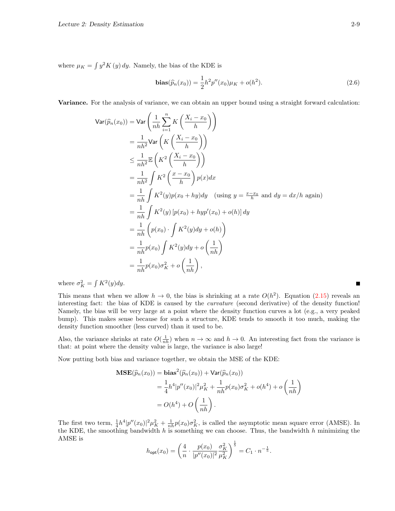where  $\mu_K = \int y^2 K(y) dy$ . Namely, the bias of the KDE is

$$
\mathbf{bias}(\widehat{p}_n(x_0)) = \frac{1}{2}h^2 p''(x_0)\mu_K + o(h^2). \tag{2.6}
$$

Variance. For the analysis of variance, we can obtain an upper bound using a straight forward calculation:

$$
\begin{split}\n\text{Var}(\widehat{p}_n(x_0)) &= \text{Var}\left(\frac{1}{nh}\sum_{i=1}^n K\left(\frac{X_i - x_0}{h}\right)\right) \\
&= \frac{1}{nh^2} \text{Var}\left(K\left(\frac{X_i - x_0}{h}\right)\right) \\
&\le \frac{1}{nh^2} \mathbb{E}\left(K^2\left(\frac{X_i - x_0}{h}\right)\right) \\
&= \frac{1}{nh^2} \int K^2\left(\frac{x - x_0}{h}\right) p(x) dx \\
&= \frac{1}{nh} \int K^2(y) p(x_0 + hy) dy \quad \text{(using } y = \frac{x - x_0}{h} \text{ and } dy = dx/h \text{ again)} \\
&= \frac{1}{nh} \int K^2(y) \left[p(x_0) + hyp'(x_0) + o(h)\right] dy \\
&= \frac{1}{nh} \left(p(x_0) \cdot \int K^2(y) dy + o(h)\right) \\
&= \frac{1}{nh} p(x_0) \int K^2(y) dy + o\left(\frac{1}{nh}\right) \\
&= \frac{1}{nh} p(x_0) \sigma_K^2 + o\left(\frac{1}{nh}\right),\n\end{split}
$$

where  $\sigma_K^2 = \int K^2(y) dy$ .

This means that when we allow  $h \to 0$ , the bias is shrinking at a rate  $O(h^2)$ . Equation [\(2.15\)](#page-19-0) reveals an interesting fact: the bias of KDE is caused by the curvature (second derivative) of the density function! Namely, the bias will be very large at a point where the density function curves a lot (e.g., a very peaked bump). This makes sense because for such a structure, KDE tends to smooth it too much, making the density function smoother (less curved) than it used to be.

Also, the variance shrinks at rate  $O(\frac{1}{nh})$  when  $n \to \infty$  and  $h \to 0$ . An interesting fact from the variance is that: at point where the density value is large, the variance is also large!

Now putting both bias and variance together, we obtain the MSE of the KDE:

$$
\begin{aligned} \mathbf{MSE}(\widehat{p}_n(x_0)) &= \mathbf{bias}^2(\widehat{p}_n(x_0)) + \mathsf{Var}(\widehat{p}_n(x_0)) \\ &= \frac{1}{4}h^4|p''(x_0)|^2\mu_K^2 + \frac{1}{nh}p(x_0)\sigma_K^2 + o(h^4) + o\left(\frac{1}{nh}\right) \\ &= O(h^4) + O\left(\frac{1}{nh}\right). \end{aligned}
$$

The first two term,  $\frac{1}{4}h^4|p''(x_0)|^2\mu_K^2+\frac{1}{nh}p(x_0)\sigma_K^2$ , is called the asymptotic mean square error (AMSE). In the KDE, the smoothing bandwidth  $h$  is something we can choose. Thus, the bandwidth  $h$  minimizing the AMSE is

$$
h_{\text{opt}}(x_0) = \left(\frac{4}{n} \cdot \frac{p(x_0)}{|p''(x_0)|^2} \frac{\sigma_K^2}{\mu_K^2}\right)^{\frac{1}{5}} = C_1 \cdot n^{-\frac{1}{5}}.
$$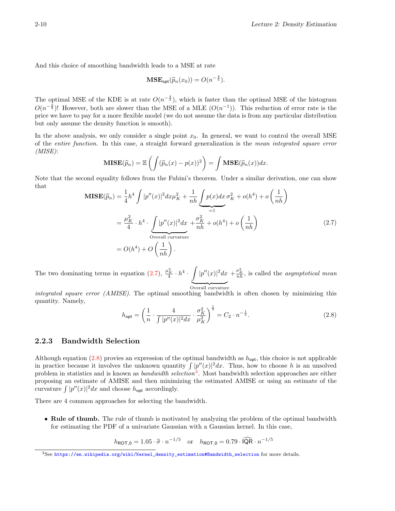And this choice of smoothing bandwidth leads to a MSE at rate

$$
\mathbf{MSE}_{\mathsf{opt}}(\widehat{p}_n(x_0)) = O(n^{-\frac{4}{5}}).
$$

The optimal MSE of the KDE is at rate  $O(n^{-\frac{4}{5}})$ , which is faster than the optimal MSE of the histogram  $O(n^{-\frac{2}{3}})!$  However, both are slower than the MSE of a MLE  $(O(n^{-1}))$ . This reduction of error rate is the price we have to pay for a more flexible model (we do not assume the data is from any particular distribution but only assume the density function is smooth).

In the above analysis, we only consider a single point  $x_0$ . In general, we want to control the overall MSE of the entire function. In this case, a straight forward generalization is the mean integrated square error  $(MISE):$ 

$$
\mathbf{MISE}(\widehat{p}_n) = \mathbb{E}\left(\int (\widehat{p}_n(x) - p(x))^2\right) = \int \mathbf{MSE}(\widehat{p}_n(x))dx.
$$

Note that the second equality follows from the Fubini's theorem. Under a similar derivation, one can show that

<span id="page-9-0"></span>
$$
\mathbf{MISE}(\widehat{p}_n) = \frac{1}{4}h^4 \int |p''(x)|^2 dx \mu_K^2 + \frac{1}{nh} \underbrace{\int p(x)dx}_{=1} \sigma_K^2 + o(h^4) + o\left(\frac{1}{nh}\right)
$$

$$
= \frac{\mu_K^2}{4} \cdot h^4 \cdot \underbrace{\int |p''(x)|^2 dx}_{\text{Overall curvature}} + \frac{\sigma_K^2}{nh} + o(h^4) + o\left(\frac{1}{nh}\right)
$$
(2.7)
$$
= O(h^4) + O\left(\frac{1}{nh}\right).
$$

The two dominating terms in equation [\(2.7\)](#page-9-0),  $\frac{\mu_K^2}{4} \cdot h^4 \cdot \int |p''(x)|^2 dx + \frac{\sigma_K^2}{nh}$ , is called the *asymptotical mean* Overall curvature

integrated square error (AMISE). The optimal smoothing bandwidth is often chosen by minimizing this quantity. Namely,

<span id="page-9-1"></span>
$$
h_{\text{opt}} = \left(\frac{1}{n} \cdot \frac{4}{\int |p''(x)|^2 dx} \cdot \frac{\sigma_K^2}{\mu_K^2}\right)^{\frac{1}{5}} = C_2 \cdot n^{-\frac{1}{5}}.
$$
 (2.8)

# 2.2.3 Bandwidth Selection

Although equation  $(2.8)$  provies an expression of the optimal bandwidth as  $h_{opt}$ , this choice is not applicable in practice because it involves the unknown quantity  $\int |p''(x)|^2 dx$ . Thus, how to choose h is an unsolved problem in statistics and is known as *bandwidth selection*<sup>[3](#page-9-2)</sup>. Most bandwidth selection approaches are either proposing an estimate of AMISE and then minimizing the estimated AMISE or using an estimate of the curvature  $\int |p''(x)|^2 dx$  and choose  $h_{\text{opt}}$  accordingly.

There are 4 common approaches for selecting the bandwidth.

• Rule of thumb. The rule of thumb is motivated by analyzing the problem of the optimal bandwidth for estimating the PDF of a univariate Gaussian with a Gaussian kernel. In this case,

 $h_{\text{ROT},0} = 1.05 \cdot \hat{\sigma} \cdot n^{-1/5}$  or  $h_{\text{ROT},0} = 0.79 \cdot \widehat{\text{IQR}} \cdot n^{-1/5}$ 

<span id="page-9-2"></span><sup>3</sup>See [https://en.wikipedia.org/wiki/Kernel\\_density\\_estimation#Bandwidth\\_selection](https://en.wikipedia.org/wiki/Kernel_density_estimation#Bandwidth_selection) for more details.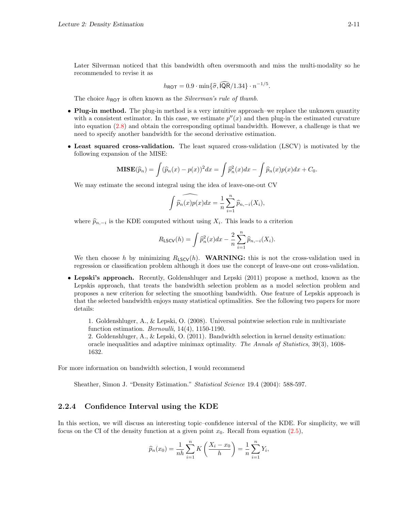Later Silverman noticed that this bandwidth often oversmooth and miss the multi-modality so he recommended to revise it as

$$
h_{\text{ROT}} = 0.9 \cdot \min\{\hat{\sigma}, \widehat{\text{IQR}}/1.34\} \cdot n^{-1/5}.
$$

The choice  $h_{\text{ROT}}$  is often known as the *Silverman's rule of thumb*.

- Plug-in method. The plug-in method is a very intuitive approach–we replace the unknown quantity with a consistent estimator. In this case, we estimate  $p''(x)$  and then plug-in the estimated curvature into equation [\(2.8\)](#page-9-1) and obtain the corresponding optimal bandwidth. However, a challenge is that we need to specify another bandwidth for the second derivative estimation.
- Least squared cross-validation. The least squared cross-validation (LSCV) is motivated by the following expansion of the MISE:

$$
\mathbf{MISE}(\widehat{p}_n) = \int (\widehat{p}_n(x) - p(x))^2 dx = \int \widehat{p}_n^2(x) dx - \int \widehat{p}_n(x) p(x) dx + C_0.
$$

We may estimate the second integral using the idea of leave-one-out CV

$$
\widehat{\int \widehat{p}_n(x)p(x)}dx = \frac{1}{n}\sum_{i=1}^n \widehat{p}_{n,-i}(X_i),
$$

where  $\widehat{p}_{n,-i}$  is the KDE computed without using  $X_i$ . This leads to a criterion

$$
R_{\text{LSCV}}(h) = \int \widehat{p}_n^2(x) dx - \frac{2}{n} \sum_{i=1}^n \widehat{p}_{n,-i}(X_i).
$$

We then choose h by minimizing  $R_{LSCV}(h)$ . WARNING: this is not the cross-validation used in regression or classification problem although it does use the concept of leave-one out cross-validation.

• Lepski's approach. Recently, Goldenshluger and Lepski (2011) propose a method, known as the Lepskis approach, that treats the bandwidth selection problem as a model selection problem and proposes a new criterion for selecting the smoothing bandwidth. One feature of Lepskis approach is that the selected bandwidth enjoys many statistical optimalities. See the following two papers for more details:

1. Goldenshluger, A., & Lepski, O. (2008). Universal pointwise selection rule in multivariate function estimation.  $Bernoulli$ , 14(4), 1150-1190.

2. Goldenshluger, A., & Lepski, O. (2011). Bandwidth selection in kernel density estimation: oracle inequalities and adaptive minimax optimality. The Annals of Statistics, 39(3), 1608- 1632.

For more information on bandwidth selection, I would recommend

Sheather, Simon J. "Density Estimation." Statistical Science 19.4 (2004): 588-597.

#### 2.2.4 Confidence Interval using the KDE

In this section, we will discuss an interesting topic–confidence interval of the KDE. For simplicity, we will focus on the CI of the density function at a given point  $x_0$ . Recall from equation [\(2.5\)](#page-4-1),

$$
\widehat{p}_n(x_0) = \frac{1}{nh} \sum_{i=1}^n K\left(\frac{X_i - x_0}{h}\right) = \frac{1}{n} \sum_{i=1}^n Y_i,
$$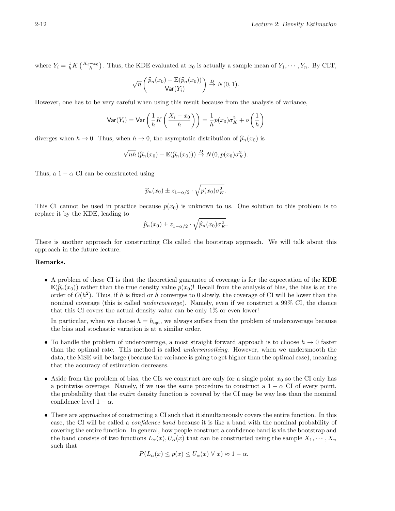where  $Y_i = \frac{1}{h} K\left(\frac{X_i - x_0}{h}\right)$ . Thus, the KDE evaluated at  $x_0$  is actually a sample mean of  $Y_1, \dots, Y_n$ . By CLT,

$$
\sqrt{n}\left(\frac{\widehat{p}_n(x_0)-\mathbb{E}(\widehat{p}_n(x_0))}{\text{Var}(Y_i)}\right)\stackrel{D}{\to} N(0,1).
$$

However, one has to be very careful when using this result because from the analysis of variance,

$$
\text{Var}(Y_i) = \text{Var}\left(\frac{1}{h}K\left(\frac{X_i - x_0}{h}\right)\right) = \frac{1}{h}p(x_0)\sigma_K^2 + o\left(\frac{1}{h}\right)
$$

diverges when  $h \to 0$ . Thus, when  $h \to 0$ , the asymptotic distribution of  $\hat{p}_n(x_0)$  is

$$
\sqrt{nh}(\widehat{p}_n(x_0)-\mathbb{E}(\widehat{p}_n(x_0)))\overset{D}{\rightarrow} N(0,p(x_0)\sigma_K^2).
$$

Thus, a  $1 - \alpha$  CI can be constructed using

$$
\widehat{p}_n(x_0) \pm z_{1-\alpha/2} \cdot \sqrt{p(x_0)\sigma_K^2}.
$$

This CI cannot be used in practice because  $p(x_0)$  is unknown to us. One solution to this problem is to replace it by the KDE, leading to

$$
\widehat{p}_n(x_0) \pm z_{1-\alpha/2} \cdot \sqrt{\widehat{p}_n(x_0)\sigma_K^2}.
$$

There is another approach for constructing CIs called the bootstrap approach. We will talk about this approach in the future lecture.

#### Remarks.

• A problem of these CI is that the theoretical guarantee of coverage is for the expectation of the KDE  $\mathbb{E}(\widehat{p}_n(x_0))$  rather than the true density value  $p(x_0)$ ! Recall from the analysis of bias, the bias is at the order of  $O(h^2)$ . Thus, if h is fixed or h converges to 0 slowly, the coverage of CI will be lower than the nominal coverage (this is called *undercoverage*). Namely, even if we construct a 99% CI, the chance that this CI covers the actual density value can be only  $1\%$  or even lower!

In particular, when we choose  $h = h_{\text{opt}}$ , we always suffers from the problem of undercoverage because the bias and stochastic variation is at a similar order.

- To handle the problem of undercoverage, a most straight forward approach is to choose  $h \to 0$  faster than the optimal rate. This method is called undersmoothing. However, when we undersmooth the data, the MSE will be large (because the variance is going to get higher than the optimal case), meaning that the accuracy of estimation decreases.
- Aside from the problem of bias, the CIs we construct are only for a single point  $x_0$  so the CI only has a pointwise coverage. Namely, if we use the same procedure to construct a  $1 - \alpha$  CI of every point, the probability that the entire density function is covered by the CI may be way less than the nominal confidence level  $1 - \alpha$ .
- There are approaches of constructing a CI such that it simultaneously covers the entire function. In this case, the CI will be called a confidence band because it is like a band with the nominal probability of covering the entire function. In general, how people construct a confidence band is via the bootstrap and the band consists of two functions  $L_{\alpha}(x), U_{\alpha}(x)$  that can be constructed using the sample  $X_1, \dots, X_n$ such that

$$
P(L_{\alpha}(x) \le p(x) \le U_{\alpha}(x) \ \forall \ x) \approx 1 - \alpha.
$$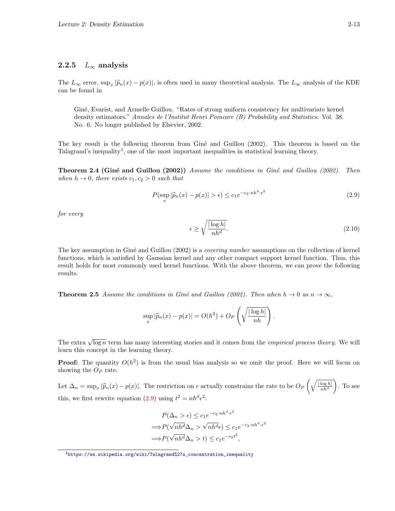# 2.2.5  $L_{\infty}$  analysis

The  $L_{\infty}$  error,  $\sup_x |\widehat{p}_n(x) - p(x)|$ , is often used in many theoretical analysis. The  $L_{\infty}$  analysis of the KDE can be found in can be found in

Giné, Evarist, and Armelle Guillou. "Rates of strong uniform consistency for multivariate kernel density estimators." Annales de l'Institut Henri Poincare (B) Probability and Statistics. Vol. 38. No. 6. No longer published by Elsevier, 2002.

The key result is the following theorem from Giné and Guillou (2002). This theorem is based on the Talagrand's inequality<sup>[4](#page-12-0)</sup>, one of the most important inequalities in statistical learning theory.

**Theorem 2.4 (Giné and Guillou (2002))** Assume the conditions in Giné and Guillou (2002). Then when  $h \to 0$ , there exists  $c_1, c_2 > 0$  such that

<span id="page-12-1"></span>
$$
P(\sup_{x} |\widehat{p}_n(x) - p(x)| > \epsilon) \le c_1 e^{-c_2 \cdot nh^d \cdot \epsilon^2}
$$
\n(2.9)

for every

$$
\epsilon \ge \sqrt{\frac{|\log h|}{nh^d}}.\tag{2.10}
$$

The key assumption in Giné and Guillou (2002) is a *covering number* assumptions on the collection of kernel functions, which is satisfied by Gaussian kernel and any other compact support kernel function. Thus, this result holds for most commonly used kernel functions. With the above theorem, we can prove the following results.

**Theorem 2.5** Assume the conditions in Giné and Guillou (2002). Then when  $h \to 0$  as  $n \to \infty$ ,

$$
\sup_x |\widehat{p}_n(x) - p(x)| = O(h^2) + O_P\left(\sqrt{\frac{|\log h|}{nh}}\right).
$$

The extra  $\sqrt{\log n}$  term has many interesting stories and it comes from the *empirical process theory*. We will learn this concept in the learning theory.

**Proof:** The quantity  $O(h^2)$  is from the usual bias analysis so we omit the proof. Here we will focus on showing the  $O_P$  rate.

Let  $\Delta_n = \sup_x |\widehat{p}_n(x) - p(x)|$ . The restriction on  $\epsilon$  actually constrains the rate to be  $O_P\left(\sqrt{\frac{|\log h|}{nh^d}}\right)$  $nh^d$  . To see this, we first rewrite equation [\(2.9\)](#page-12-1) using  $t^2 = nh^d\epsilon^2$ :

$$
P(\Delta_n > \epsilon) \le c_1 e^{-c_2 \cdot nh^d \cdot \epsilon^2}
$$
  
\n
$$
\implies P(\sqrt{nh^d} \Delta_n > \sqrt{nh^d} \epsilon) \le c_1 e^{-c_2 \cdot nh^d \cdot \epsilon^2}
$$
  
\n
$$
\implies P(\sqrt{nh^d} \Delta_n > t) \le c_1 e^{-c_2 t^2},
$$

<span id="page-12-0"></span><sup>4</sup>[https://en.wikipedia.org/wiki/Talagrand%27s\\_concentration\\_inequality](https://en.wikipedia.org/wiki/Talagrand%27s_concentration_inequality)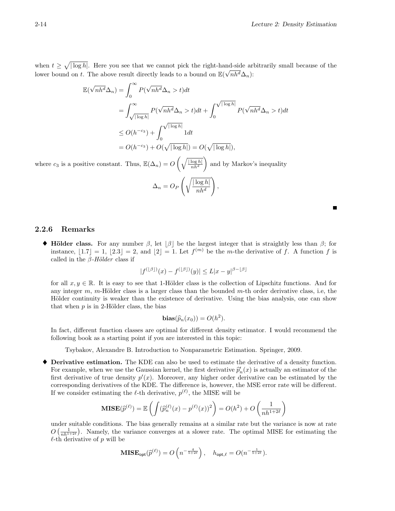when  $t \geq \sqrt{|\log h|}$ . Here you see that we cannot pick the right-hand-side arbitrarily small because of the lower bound on t. The above result directly leads to a bound on  $\mathbb{E}(\sqrt{nh^d}\Delta_n)$ :

$$
\mathbb{E}(\sqrt{nh^d}\Delta_n) = \int_0^\infty P(\sqrt{nh^d}\Delta_n > t)dt
$$
  
= 
$$
\int_{\sqrt{|\log h|}}^{\infty} P(\sqrt{nh^d}\Delta_n > t)dt + \int_0^{\sqrt{|\log h|}} P(\sqrt{nh^d}\Delta_n > t)dt
$$
  

$$
\leq O(h^{-c_3}) + \int_0^{\sqrt{|\log h|}} 1dt
$$
  
= 
$$
O(h^{-c_3}) + O(\sqrt{|\log h|}) = O(\sqrt{|\log h|}),
$$

where  $c_3$  is a positive constant. Thus,  $\mathbb{E}(\Delta_n) = O\left(\sqrt{\frac{|\log h|}{nh^d}}\right)$  $n h$ <sup>d</sup> ) and by Markov's inequality

$$
\Delta_n = O_P\left(\sqrt{\frac{|\log h|}{nh^d}}\right),\,
$$

## 2.2.6 Remarks

 $\blacklozenge$  Hölder class. For any number β, let  $\lbrack \beta \rbrack$  be the largest integer that is straightly less than β; for instance,  $\lfloor 1.7 \rfloor = 1$ ,  $\lfloor 2.3 \rfloor = 2$ , and  $\lfloor 2 \rfloor = 1$ . Let  $f^{(m)}$  be the *m*-the derivative of f. A function f is called in the  $\beta$ -Hölder class if

$$
|f^{(\lfloor \beta \rfloor)}(x) - f^{(\lfloor \beta \rfloor)}(y)| \le L|x - y|^{\beta - \lfloor \beta \rfloor}
$$

for all  $x, y \in \mathbb{R}$ . It is easy to see that 1-Hölder class is the collection of Lipschitz functions. And for any integer  $m$ , m-Hölder class is a larger class than the bounded  $m$ -th order derivative class, i.e, the Hölder continuity is weaker than the existence of derivative. Using the bias analysis, one can show that when  $p$  is in 2-Hölder class, the bias

$$
\mathbf{bias}(\widehat{p}_n(x_0)) = O(h^2).
$$

In fact, different function classes are optimal for different density estimator. I would recommend the following book as a starting point if you are interested in this topic:

Tsybakov, Alexandre B. Introduction to Nonparametric Estimation. Springer, 2009.

♦ Derivative estimation. The KDE can also be used to estimate the derivative of a density function. For example, when we use the Gaussian kernel, the first derivative  $\hat{p}'_n(x)$  is actually an estimator of the<br>first derivative of true density  $p'(x)$ . Mereover, any higher erder derivative can be estimated by the first derivative of true density  $p'(x)$ . Moreover, any higher order derivative can be estimated by the corresponding derivatives of the KDE. The difference is, however, the MSE error rate will be different. If we consider estimating the  $\ell$ -th derivative,  $p^{(\ell)}$ , the MISE will be

$$
\mathbf{MISE}(\hat{p}^{(\ell)}) = \mathbb{E}\left(\int (\hat{p}_n^{(\ell)}(x) - p^{(\ell)}(x))^2\right) = O(h^2) + O\left(\frac{1}{nh^{1+2\ell}}\right)
$$

under suitable conditions. The bias generally remains at a similar rate but the variance is now at rate  $O\left(\frac{1}{nh^{1+2\ell}}\right)$ . Namely, the variance converges at a slower rate. The optimal MISE for estimating the  $\ell$ -th derivative of p will be

$$
\mathbf{MISE}_{\mathsf{opt}}(\widehat{p}^{(\ell)}) = O\left(n^{-\frac{4}{5+2\ell}}\right), \quad h_{\mathsf{opt},\ell} = O(n^{-\frac{1}{5+2\ell}}).
$$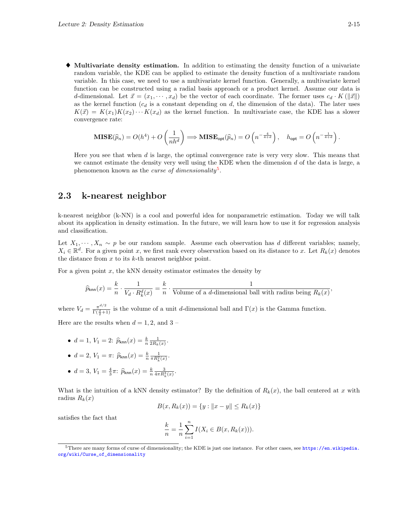♦ Multivariate density estimation. In addition to estimating the density function of a univariate random variable, the KDE can be applied to estimate the density function of a multivariate random variable. In this case, we need to use a multivariate kernel function. Generally, a multivariate kernel function can be constructed using a radial basis approach or a product kernel. Assume our data is d-dimensional. Let  $\vec{x} = (x_1, \dots, x_d)$  be the vector of each coordinate. The former uses  $c_d \cdot K(||\vec{x}||)$ as the kernel function  $(c_d)$  is a constant depending on d, the dimension of the data). The later uses  $K(\vec{x}) = K(x_1)K(x_2)\cdots K(x_d)$  as the kernel function. In multivariate case, the KDE has a slower convergence rate:

$$
\mathbf{MISE}(\widehat{p}_n) = O(h^4) + O\left(\frac{1}{nh^d}\right) \Longrightarrow \mathbf{MISE}_{\text{opt}}(\widehat{p}_n) = O\left(n^{-\frac{4}{4+d}}\right), \quad h_{\text{opt}} = O\left(n^{-\frac{1}{4+d}}\right).
$$

Here you see that when d is large, the optimal convergence rate is very very slow. This means that we cannot estimate the density very well using the KDE when the dimension  $d$  of the data is large, a phenomenon known as the *curse of dimensionality*<sup>[5](#page-14-0)</sup>.

# 2.3 k-nearest neighbor

k-nearest neighbor (k-NN) is a cool and powerful idea for nonparametric estimation. Today we will talk about its application in density estimation. In the future, we will learn how to use it for regression analysis and classification.

Let  $X_1, \dots, X_n \sim p$  be our random sample. Assume each observation has d different variables; namely,  $X_i \in \mathbb{R}^d$ . For a given point x, we first rank every observation based on its distance to x. Let  $R_k(x)$  denotes the distance from  $x$  to its  $k$ -th nearest neighbor point.

For a given point  $x$ , the kNN density estimator estimates the density by

$$
\widehat{p}_{\mathsf{knn}}(x) = \frac{k}{n} \cdot \frac{1}{V_d \cdot R_k^d(x)} = \frac{k}{n} \cdot \frac{1}{\text{Volume of a $d$-dimensional ball with radius being $R_k(x)$}},
$$

where  $V_d = \frac{\pi^{d/2}}{\Gamma(\frac{d}{2})}$  $\frac{\pi^{a/2}}{\Gamma(\frac{d}{2}+1)}$  is the volume of a unit d-dimensional ball and  $\Gamma(x)$  is the Gamma function. Here are the results when  $d = 1, 2$ , and  $3 -$ 

- - $d = 1, V_1 = 2$ :  $\hat{p}_{\text{knn}}(x) = \frac{k}{n} \frac{1}{2R_k(x)}$ .

• 
$$
d = 2
$$
,  $V_1 = \pi$ :  $\hat{p}_{\text{knn}}(x) = \frac{k}{n} \frac{1}{\pi R_k^2(x)}$ .

• 
$$
d = 3
$$
,  $V_1 = \frac{4}{3}\pi$ :  $\hat{p}_{\text{knn}}(x) = \frac{k}{n} \frac{3}{4\pi R_k^3(x)}$ .

What is the intuition of a kNN density estimator? By the definition of  $R_k(x)$ , the ball centered at x with radius  $R_k(x)$ 

$$
B(x, R_k(x)) = \{y : ||x - y|| \le R_k(x)\}
$$

satisfies the fact that

$$
\frac{k}{n} = \frac{1}{n} \sum_{i=1}^{n} I(X_i \in B(x, R_k(x))).
$$

<span id="page-14-0"></span> $5$ There are many forms of curse of dimensionality; the KDE is just one instance. For other cases, see [https://en.wikipedia.](https://en.wikipedia.org/wiki/Curse_of_dimensionality) [org/wiki/Curse\\_of\\_dimensionality](https://en.wikipedia.org/wiki/Curse_of_dimensionality)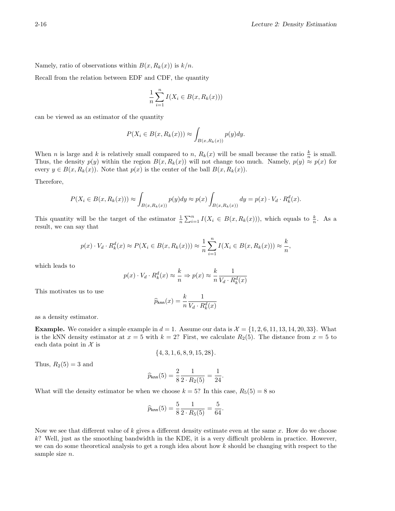Namely, ratio of observations within  $B(x, R_k(x))$  is  $k/n$ .

Recall from the relation between EDF and CDF, the quantity

$$
\frac{1}{n}\sum_{i=1}^{n}I(X_i \in B(x, R_k(x)))
$$

can be viewed as an estimator of the quantity

$$
P(X_i \in B(x, R_k(x))) \approx \int_{B(x, R_k(x))} p(y) dy.
$$

When *n* is large and *k* is relatively small compared to *n*,  $R_k(x)$  will be small because the ratio  $\frac{k}{n}$  is small. Thus, the density  $p(y)$  within the region  $B(x, R_k(x))$  will not change too much. Namely,  $p(y) \approx p(x)$  for every  $y \in B(x, R_k(x))$ . Note that  $p(x)$  is the center of the ball  $B(x, R_k(x))$ .

Therefore,

$$
P(X_i \in B(x, R_k(x))) \approx \int_{B(x, R_k(x))} p(y) dy \approx p(x) \int_{B(x, R_k(x))} dy = p(x) \cdot V_d \cdot R_k^d(x).
$$

This quantity will be the target of the estimator  $\frac{1}{n}\sum_{i=1}^{n} I(X_i \in B(x, R_k(x)))$ , which equals to  $\frac{k}{n}$ . As a result, we can say that

$$
p(x) \cdot V_d \cdot R_k^d(x) \approx P(X_i \in B(x, R_k(x))) \approx \frac{1}{n} \sum_{i=1}^n I(X_i \in B(x, R_k(x))) \approx \frac{k}{n},
$$

which leads to

$$
p(x) \cdot V_d \cdot R_k^d(x) \approx \frac{k}{n} \Rightarrow p(x) \approx \frac{k}{n} \frac{1}{V_d \cdot R_k^d(x)}
$$

This motivates us to use

$$
\widehat{p}_{\sf knn}(x) = \frac{k}{n} \frac{1}{V_d \cdot R_k^d(x)}
$$

as a density estimator.

**Example.** We consider a simple example in  $d = 1$ . Assume our data is  $\mathcal{X} = \{1, 2, 6, 11, 13, 14, 20, 33\}$ . What is the kNN density estimator at  $x = 5$  with  $k = 2$ ? First, we calculate  $R_2(5)$ . The distance from  $x = 5$  to each data point in  $\mathcal X$  is

$$
\{4,3,1,6,8,9,15,28\}.
$$

Thus,  $R_2(5) = 3$  and

$$
\widehat{p}_{\sf knn}(5) = \frac{2}{8}\frac{1}{2\cdot R_2(5)} = \frac{1}{24}.
$$

What will the density estimator be when we choose  $k = 5$ ? In this case,  $R_5(5) = 8$  so

$$
\widehat{p}_{\mathsf{knn}}(5) = \frac{5}{8} \frac{1}{2 \cdot R_5(5)} = \frac{5}{64}.
$$

Now we see that different value of k gives a different density estimate even at the same  $x$ . How do we choose k? Well, just as the smoothing bandwidth in the KDE, it is a very difficult problem in practice. However, we can do some theoretical analysis to get a rough idea about how  $k$  should be changing with respect to the sample size  $n$ .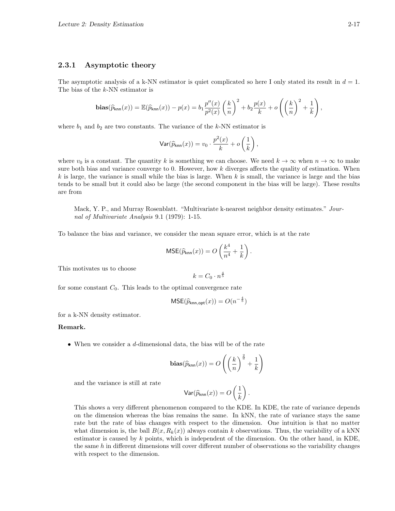### 2.3.1 Asymptotic theory

The asymptotic analysis of a k-NN estimator is quiet complicated so here I only stated its result in  $d = 1$ . The bias of the k-NN estimator is

$$
\mathbf{bias}(\widehat{p}_{\mathsf{knn}}(x)) = \mathbb{E}(\widehat{p}_{\mathsf{knn}}(x)) - p(x) = b_1 \frac{p''(x)}{p^2(x)} \left(\frac{k}{n}\right)^2 + b_2 \frac{p(x)}{k} + o\left(\left(\frac{k}{n}\right)^2 + \frac{1}{k}\right),
$$

where  $b_1$  and  $b_2$  are two constants. The variance of the k-NN estimator is

$$
\text{Var}(\widehat{p}_{\text{knn}}(x)) = v_0 \cdot \frac{p^2(x)}{k} + o\left(\frac{1}{k}\right),
$$

where  $v_0$  is a constant. The quantity k is something we can choose. We need  $k \to \infty$  when  $n \to \infty$  to make sure both bias and variance converge to 0. However, how  $k$  diverges affects the quality of estimation. When  $k$  is large, the variance is small while the bias is large. When  $k$  is small, the variance is large and the bias tends to be small but it could also be large (the second component in the bias will be large). These results are from

Mack, Y. P., and Murray Rosenblatt. "Multivariate k-nearest neighbor density estimates." Journal of Multivariate Analysis 9.1 (1979): 1-15.

To balance the bias and variance, we consider the mean square error, which is at the rate

$$
MSE(\widehat{p}_{\text{knn}}(x)) = O\left(\frac{k^4}{n^4} + \frac{1}{k}\right).
$$

This motivates us to choose

$$
k = C_0 \cdot n^{\frac{4}{5}}
$$

for some constant  $C_0$ . This leads to the optimal convergence rate

$$
\mathsf{MSE}(\widehat{p}_{\mathsf{knn},\mathsf{opt}}(x)) = O(n^{-\frac{4}{5}})
$$

for a k-NN density estimator.

#### Remark.

• When we consider a d-dimensional data, the bias will be of the rate

$$
\mathbf{bias}(\widehat{p}_{\mathsf{knn}}(x)) = O\left(\left(\frac{k}{n}\right)^{\frac{2}{d}} + \frac{1}{k}\right)
$$

and the variance is still at rate

$$
\mathrm{Var}(\widehat{p}_{\mathrm{knn}}(x))=O\left(\frac{1}{k}\right).
$$

This shows a very different phenomenon compared to the KDE. In KDE, the rate of variance depends on the dimension whereas the bias remains the same. In kNN, the rate of variance stays the same rate but the rate of bias changes with respect to the dimension. One intuition is that no matter what dimension is, the ball  $B(x, R_k(x))$  always contain k observations. Thus, the variability of a kNN estimator is caused by  $k$  points, which is independent of the dimension. On the other hand, in KDE, the same  $h$  in different dimensions will cover different number of observations so the variability changes with respect to the dimension.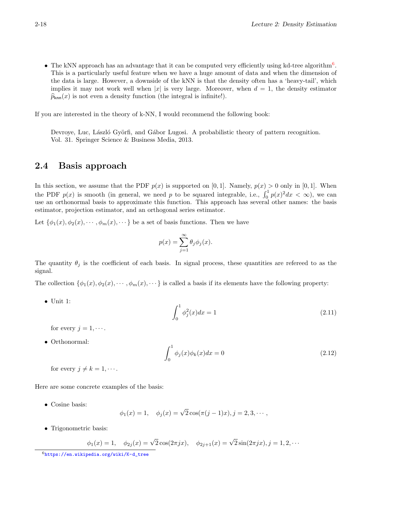• The kNN approach has an advantage that it can be computed very efficiently using kd-tree algorithm<sup>[6](#page-17-0)</sup>. This is a particularly useful feature when we have a huge amount of data and when the dimension of the data is large. However, a downside of the kNN is that the density often has a 'heavy-tail', which implies it may not work well when |x| is very large. Moreover, when  $d = 1$ , the density estimator  $\widehat{p}_{\text{knn}}(x)$  is not even a density function (the integral is infinite!).

If you are interested in the theory of k-NN, I would recommend the following book:

Devroye, Luc, László Györfi, and Gábor Lugosi. A probabilistic theory of pattern recognition. Vol. 31. Springer Science & Business Media, 2013.

# 2.4 Basis approach

In this section, we assume that the PDF  $p(x)$  is supported on [0,1]. Namely,  $p(x) > 0$  only in [0,1]. When the PDF  $p(x)$  is smooth (in general, we need p to be squared integrable, i.e.,  $\int_0^1 p(x)^2 dx < \infty$ ), we can use an orthonormal basis to approximate this function. This approach has several other names: the basis estimator, projection estimator, and an orthogonal series estimator.

Let  $\{\phi_1(x), \phi_2(x), \cdots, \phi_m(x), \cdots\}$  be a set of basis functions. Then we have

$$
p(x) = \sum_{j=1}^{\infty} \theta_j \phi_j(x).
$$

The quantity  $\theta_j$  is the coefficient of each basis. In signal process, these quantities are refereed to as the signal.

The collection  $\{\phi_1(x), \phi_2(x), \cdots, \phi_m(x), \cdots\}$  is called a basis if its elements have the following property:

• Unit 1:

$$
\int_0^1 \phi_j^2(x) dx = 1 \tag{2.11}
$$

for every  $j = 1, \cdots$ .

• Orthonormal:

$$
\int_0^1 \phi_j(x)\phi_k(x)dx = 0\tag{2.12}
$$

for every  $j \neq k = 1, \cdots$ .

Here are some concrete examples of the basis:

• Cosine basis:

$$
\phi_1(x) = 1, \quad \phi_j(x) = \sqrt{2} \cos(\pi(j-1)x), j = 2, 3, \cdots,
$$

• Trigonometric basis:

$$
\phi_1(x) = 1
$$
,  $\phi_{2j}(x) = \sqrt{2}\cos(2\pi jx)$ ,  $\phi_{2j+1}(x) = \sqrt{2}\sin(2\pi jx)$ ,  $j = 1, 2, \cdots$ 

<span id="page-17-0"></span><sup>6</sup>[https://en.wikipedia.org/wiki/K-d\\_tree](https://en.wikipedia.org/wiki/K-d_tree)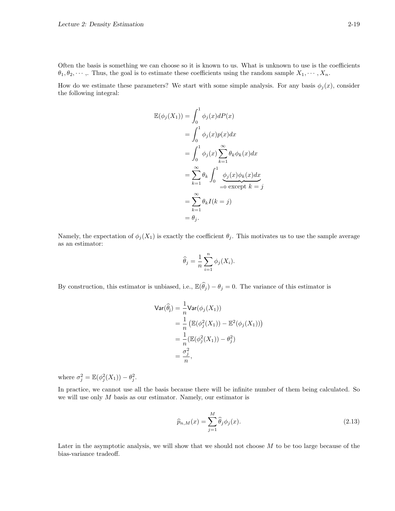Often the basis is something we can choose so it is known to us. What is unknown to use is the coefficients  $\theta_1, \theta_2, \dots$ , Thus, the goal is to estimate these coefficients using the random sample  $X_1, \dots, X_n$ .

How do we estimate these parameters? We start with some simple analysis. For any basis  $\phi_j(x)$ , consider the following integral:

$$
\mathbb{E}(\phi_j(X_1)) = \int_0^1 \phi_j(x)dP(x)
$$
  
= 
$$
\int_0^1 \phi_j(x)p(x)dx
$$
  
= 
$$
\int_0^1 \phi_j(x)\sum_{k=1}^\infty \theta_k\phi_k(x)dx
$$
  
= 
$$
\sum_{k=1}^\infty \theta_k \int_0^1 \underbrace{\phi_j(x)\phi_k(x)dx}_{=0 \text{ except } k=j}
$$
  
= 
$$
\sum_{k=1}^\infty \theta_k I(k=j)
$$
  
= 
$$
\theta_j.
$$

Namely, the expectation of  $\phi_j(X_1)$  is exactly the coefficient  $\theta_j$ . This motivates us to use the sample average as an estimator:

$$
\widehat{\theta}_j = \frac{1}{n} \sum_{i=1}^n \phi_j(X_i).
$$

By construction, this estimator is unbiased, i.e.,  $\mathbb{E}(\widehat{\theta}_j) - \theta_j = 0$ . The variance of this estimator is

$$
\begin{aligned} \text{Var}(\widehat{\theta}_{j}) &= \frac{1}{n} \text{Var}(\phi_{j}(X_{1})) \\ &= \frac{1}{n} \left( \mathbb{E}(\phi_{j}^{2}(X_{1})) - \mathbb{E}^{2}(\phi_{j}(X_{1})) \right) \\ &= \frac{1}{n} (\mathbb{E}(\phi_{j}^{2}(X_{1})) - \theta_{j}^{2}) \\ &= \frac{\sigma_{j}^{2}}{n}, \end{aligned}
$$

where  $\sigma_j^2 = \mathbb{E}(\phi_j^2(X_1)) - \theta_j^2$ .

In practice, we cannot use all the basis because there will be infinite number of them being calculated. So we will use only  $M$  basis as our estimator. Namely, our estimator is

$$
\widehat{p}_{n,M}(x) = \sum_{j=1}^{M} \widehat{\theta}_j \phi_j(x). \tag{2.13}
$$

Later in the asymptotic analysis, we will show that we should not choose  $M$  to be too large because of the bias-variance tradeoff.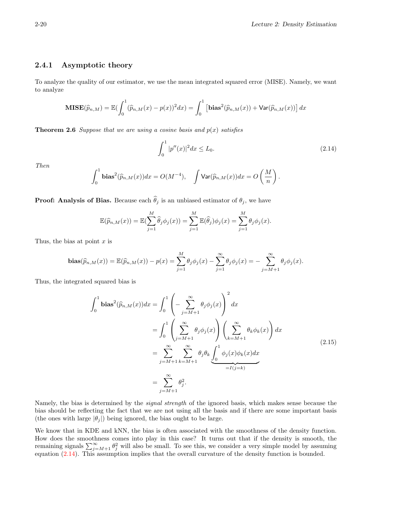# 2.4.1 Asymptotic theory

To analyze the quality of our estimator, we use the mean integrated squared error (MISE). Namely, we want to analyze

$$
\mathbf{MISE}(\widehat{p}_{n,M}) = \mathbb{E}(\int_0^1 (\widehat{p}_{n,M}(x) - p(x))^2 dx) = \int_0^1 \left[ \mathbf{bias}^2(\widehat{p}_{n,M}(x)) + \mathbf{Var}(\widehat{p}_{n,M}(x)) \right] dx
$$

**Theorem 2.6** Suppose that we are using a cosine basis and  $p(x)$  satisfies

<span id="page-19-1"></span>
$$
\int_0^1 |p''(x)|^2 dx \le L_0. \tag{2.14}
$$

Then

$$
\int_0^1 \mathbf{bias}^2(\widehat{p}_{n,M}(x))dx = O(M^{-4}), \quad \int \mathbf{Var}(\widehat{p}_{n,M}(x))dx = O\left(\frac{M}{n}\right).
$$

**Proof:** Analysis of Bias. Because each  $\hat{\theta}_i$  is an unbiased estimator of  $\theta_i$ , we have

$$
\mathbb{E}(\widehat{p}_{n,M}(x)) = \mathbb{E}(\sum_{j=1}^{M} \widehat{\theta}_{j} \phi_{j}(x)) = \sum_{j=1}^{M} \mathbb{E}(\widehat{\theta}_{j}) \phi_{j}(x) = \sum_{j=1}^{M} \theta_{j} \phi_{j}(x).
$$

Thus, the bias at point  $x$  is

$$
\mathbf{bias}(\widehat{p}_{n,M}(x)) = \mathbb{E}(\widehat{p}_{n,M}(x)) - p(x) = \sum_{j=1}^{M} \theta_j \phi_j(x) - \sum_{j=1}^{\infty} \theta_j \phi_j(x) = -\sum_{j=M+1}^{\infty} \theta_j \phi_j(x).
$$

Thus, the integrated squared bias is

<span id="page-19-0"></span>
$$
\int_0^1 \text{bias}^2(\widehat{p}_{n,M}(x))dx = \int_0^1 \left(-\sum_{j=M+1}^\infty \theta_j \phi_j(x)\right)^2 dx
$$
  
\n
$$
= \int_0^1 \left(\sum_{j=M+1}^\infty \theta_j \phi_j(x)\right) \left(\sum_{k=M+1}^\infty \theta_k \phi_k(x)\right) dx
$$
  
\n
$$
= \sum_{j=M+1}^\infty \sum_{k=M+1}^\infty \theta_j \theta_k \underbrace{\int_0^1 \phi_j(x) \phi_k(x) dx}_{=I(j=k)}
$$
  
\n
$$
= \sum_{j=M+1}^\infty \theta_j^2.
$$
 (2.15)

Namely, the bias is determined by the *signal strength* of the ignored basis, which makes sense because the bias should be reflecting the fact that we are not using all the basis and if there are some important basis (the ones with large  $|\theta_i|$ ) being ignored, the bias ought to be large.

We know that in KDE and kNN, the bias is often associated with the smoothness of the density function. How does the smoothness comes into play in this case? It turns out that if the density is smooth, the remaining signals  $\sum_{j=M+1}^{\infty} \theta_j^2$  will also be small. To see this, we consider a very simple model by assuming equation [\(2.14\)](#page-19-1). This assumption implies that the overall curvature of the density function is bounded.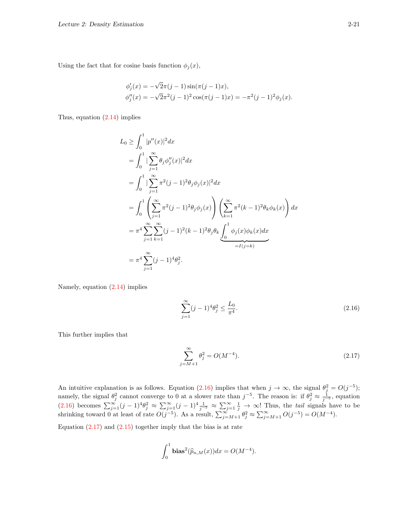Using the fact that for cosine basis function  $\phi_j(x)$ ,

$$
\begin{aligned} \phi_j'(x) &= -\sqrt{2}\pi(j-1)\sin(\pi(j-1)x), \\ \phi_j''(x) &= -\sqrt{2}\pi^2(j-1)^2\cos(\pi(j-1)x) = -\pi^2(j-1)^2\phi_j(x). \end{aligned}
$$

Thus, equation [\(2.14\)](#page-19-1) implies

$$
L_0 \ge \int_0^1 |p''(x)|^2 dx
$$
  
\n
$$
= \int_0^1 |\sum_{j=1}^\infty \theta_j \phi_j''(x)|^2 dx
$$
  
\n
$$
= \int_0^1 |\sum_{j=1}^\infty \pi^2 (j-1)^2 \theta_j \phi_j(x)|^2 dx
$$
  
\n
$$
= \int_0^1 \left( \sum_{j=1}^\infty \pi^2 (j-1)^2 \theta_j \phi_j(x) \right) \left( \sum_{k=1}^\infty \pi^2 (k-1)^2 \theta_k \phi_k(x) \right) dx
$$
  
\n
$$
= \pi^4 \sum_{j=1}^\infty \sum_{k=1}^\infty (j-1)^2 (k-1)^2 \theta_j \theta_k \underbrace{\int_0^1 \phi_j(x) \phi_k(x) dx}_{=I(j=k)}
$$
  
\n
$$
= \pi^4 \sum_{j=1}^\infty (j-1)^4 \theta_j^2.
$$

Namely, equation [\(2.14\)](#page-19-1) implies

<span id="page-20-0"></span>
$$
\sum_{j=1}^{\infty} (j-1)^4 \theta_j^2 \le \frac{L_0}{\pi^4}.
$$
\n(2.16)

This further implies that

<span id="page-20-1"></span>
$$
\sum_{j=M+1}^{\infty} \theta_j^2 = O(M^{-4}).
$$
\n(2.17)

An intuitive explanation is as follows. Equation [\(2.16\)](#page-20-0) implies that when  $j \to \infty$ , the signal  $\theta_j^2 = O(j^{-5})$ ; namely, the signal  $\theta_j^2$  cannot converge to 0 at a slower rate than  $j^{-5}$ . The reason is: if  $\theta_j^2 \approx \frac{1}{j^{-5}}$ , equation  $(2.16)$  becomes  $\sum_{j=1}^{\infty} (j-1)^4 \theta_j^2 \approx \sum_{j=1}^{\infty} (j-1)^4 \frac{1}{j^{-5}} \approx \sum_{j=1}^{\infty} \frac{1}{j} \to \infty$ ! Thus, the *tail* signals have to be shrinking toward 0 at least of rate  $O(j^{-5})$ . As a result,  $\sum_{j=M+1}^{\infty} \theta_j^2 \approx \sum_{j=M+1}^{\infty} O(j^{-5}) = O(M^{-4})$ .

Equation  $(2.17)$  and  $(2.15)$  together imply that the bias is at rate

$$
\int_0^1 {\bf bias}^2 (\widehat{p}_{n,M}(x))dx = O(M^{-4}).
$$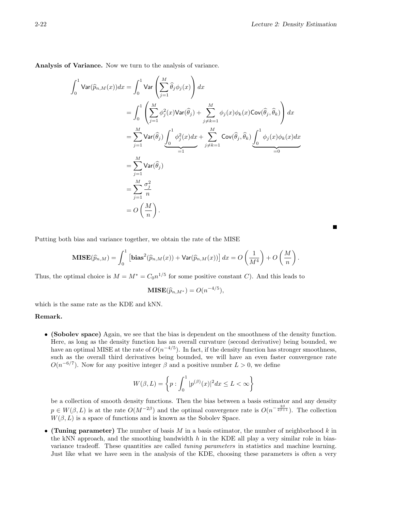Е

Analysis of Variance. Now we turn to the analysis of variance.

$$
\int_{0}^{1} \mathsf{Var}(\widehat{p}_{n,M}(x)) dx = \int_{0}^{1} \mathsf{Var}\left(\sum_{j=1}^{M} \widehat{\theta}_{j} \phi_{j}(x)\right) dx
$$
  
\n
$$
= \int_{0}^{1} \left(\sum_{j=1}^{M} \phi_{j}^{2}(x) \mathsf{Var}(\widehat{\theta}_{j}) + \sum_{j \neq k=1}^{M} \phi_{j}(x) \phi_{k}(x) \mathsf{Cov}(\widehat{\theta}_{j}, \widehat{\theta}_{k})\right) dx
$$
  
\n
$$
= \sum_{j=1}^{M} \mathsf{Var}(\widehat{\theta}_{j}) \underbrace{\int_{0}^{1} \phi_{j}^{2}(x) dx}_{=1} + \sum_{j \neq k=1}^{M} \mathsf{Cov}(\widehat{\theta}_{j}, \widehat{\theta}_{k}) \underbrace{\int_{0}^{1} \phi_{j}(x) \phi_{k}(x) dx}_{=0}
$$
  
\n
$$
= \sum_{j=1}^{M} \mathsf{Var}(\widehat{\theta}_{j})
$$
  
\n
$$
= \sum_{j=1}^{M} \frac{\sigma_{j}^{2}}{n}
$$
  
\n
$$
= O\left(\frac{M}{n}\right).
$$

Putting both bias and variance together, we obtain the rate of the MISE

$$
\mathbf{MISE}(\widehat{p}_{n,M}) = \int_0^1 \left[ \mathbf{bias}^2(\widehat{p}_{n,M}(x)) + \mathbf{Var}(\widehat{p}_{n,M}(x)) \right] dx = O\left(\frac{1}{M^4}\right) + O\left(\frac{M}{n}\right).
$$

Thus, the optimal choice is  $M = M^* = C_0 n^{1/5}$  for some positive constant C). And this leads to

$$
\mathbf{MISE}(\widehat{p}_{n,M^*}) = O(n^{-4/5}),
$$

which is the same rate as the KDE and kNN.

#### Remark.

• (Sobolev space) Again, we see that the bias is dependent on the smoothness of the density function. Here, as long as the density function has an overall curvature (second derivative) being bounded, we have an optimal MISE at the rate of  $O(n^{-4/5})$ . In fact, if the density function has stronger smoothness, such as the overall third derivatives being bounded, we will have an even faster convergence rate  $O(n^{-6/7})$ . Now for any positive integer  $\beta$  and a positive number  $L > 0$ , we define

$$
W(\beta, L) = \left\{ p : \int_0^1 |p^{(\beta)}(x)|^2 dx \le L < \infty \right\}
$$

be a collection of smooth density functions. Then the bias between a basis estimator and any density  $p \in W(\beta, L)$  is at the rate  $O(M^{-2\beta})$  and the optimal convergence rate is  $O(n^{-\frac{2\beta}{2\beta+1}})$ . The collection  $W(\beta, L)$  is a space of functions and is known as the Sobolev Space.

• (Tuning parameter) The number of basis  $M$  in a basis estimator, the number of neighborhood k in the kNN approach, and the smoothing bandwidth  $h$  in the KDE all play a very similar role in biasvariance tradeoff. These quantities are called *tuning parameters* in statistics and machine learning. Just like what we have seen in the analysis of the KDE, choosing these parameters is often a very